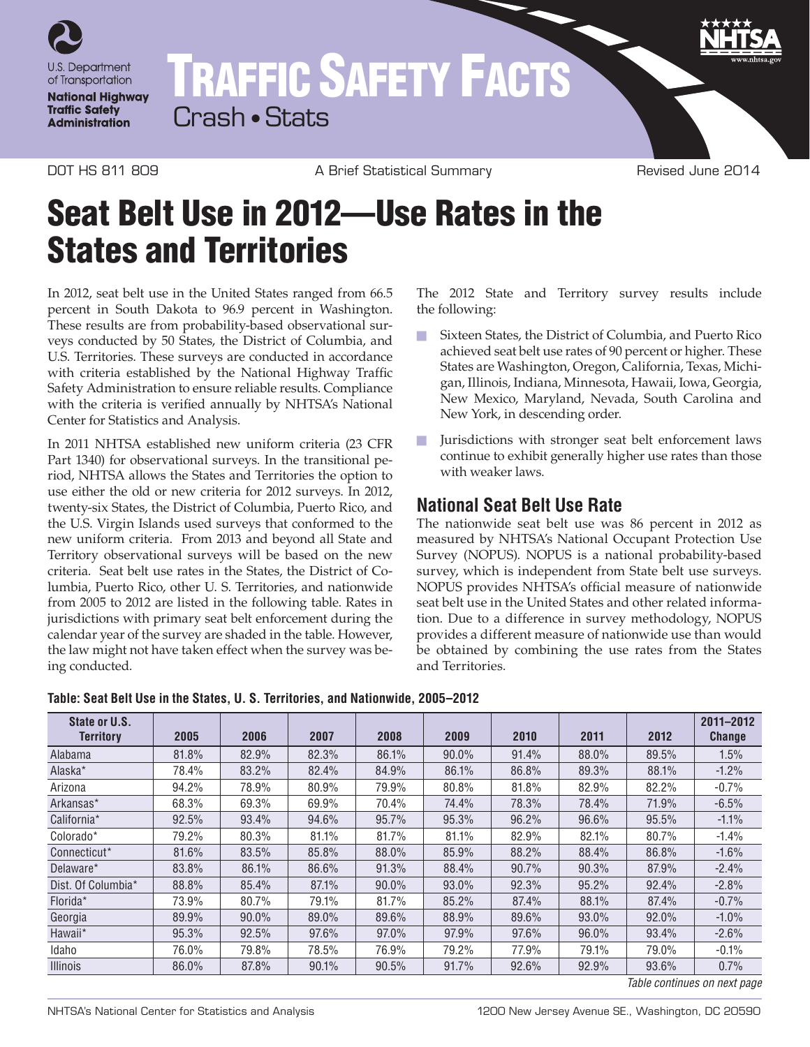

## TRAFFIC SAFETY FACTS Crash • Stats

DOT HS 811 809 A Brief Statistical Summary Revised June 2014

## Seat Belt Use in 2012—Use Rates in the States and Territories

In 2012, seat belt use in the United States ranged from 66.5 percent in South Dakota to 96.9 percent in Washington. These results are from probability-based observational surveys conducted by 50 States, the District of Columbia, and U.S. Territories. These surveys are conducted in accordance with criteria established by the National Highway Traffic Safety Administration to ensure reliable results. Compliance with the criteria is verified annually by NHTSA's National Center for Statistics and Analysis.

In 2011 NHTSA established new uniform criteria (23 CFR Part 1340) for observational surveys. In the transitional period, NHTSA allows the States and Territories the option to use either the old or new criteria for 2012 surveys. In 2012, twenty-six States, the District of Columbia, Puerto Rico, and the U.S. Virgin Islands used surveys that conformed to the new uniform criteria. From 2013 and beyond all State and Territory observational surveys will be based on the new criteria. Seat belt use rates in the States, the District of Columbia, Puerto Rico, other U. S. Territories, and nationwide from 2005 to 2012 are listed in the following table. Rates in jurisdictions with primary seat belt enforcement during the calendar year of the survey are shaded in the table. However, the law might not have taken effect when the survey was being conducted.

The 2012 State and Territory survey results include the following:

- n Sixteen States, the District of Columbia, and Puerto Rico achieved seat belt use rates of 90 percent or higher. These States are Washington, Oregon, California, Texas, Michigan, Illinois, Indiana, Minnesota, Hawaii, Iowa, Georgia, New Mexico, Maryland, Nevada, South Carolina and New York, in descending order.
- **n** Jurisdictions with stronger seat belt enforcement laws continue to exhibit generally higher use rates than those with weaker laws.

## **National Seat Belt Use Rate**

The nationwide seat belt use was 86 percent in 2012 as measured by NHTSA's National Occupant Protection Use Survey (NOPUS). NOPUS is a national probability-based survey, which is independent from State belt use surveys. NOPUS provides NHTSA's official measure of nationwide seat belt use in the United States and other related information. Due to a difference in survey methodology, NOPUS provides a different measure of nationwide use than would be obtained by combining the use rates from the States and Territories.

| State or U.S.<br><b>Territory</b> | 2005  | 2006     | 2007  | 2008  | 2009  | 2010  | 2011  | 2012  | 2011-2012<br><b>Change</b> |
|-----------------------------------|-------|----------|-------|-------|-------|-------|-------|-------|----------------------------|
| Alabama                           | 81.8% | 82.9%    | 82.3% | 86.1% | 90.0% | 91.4% | 88.0% | 89.5% | 1.5%                       |
| Alaska*                           | 78.4% | 83.2%    | 82.4% | 84.9% | 86.1% | 86.8% | 89.3% | 88.1% | $-1.2%$                    |
| Arizona                           | 94.2% | 78.9%    | 80.9% | 79.9% | 80.8% | 81.8% | 82.9% | 82.2% | $-0.7%$                    |
| Arkansas*                         | 68.3% | 69.3%    | 69.9% | 70.4% | 74.4% | 78.3% | 78.4% | 71.9% | $-6.5%$                    |
| California*                       | 92.5% | 93.4%    | 94.6% | 95.7% | 95.3% | 96.2% | 96.6% | 95.5% | $-1.1%$                    |
| Colorado*                         | 79.2% | 80.3%    | 81.1% | 81.7% | 81.1% | 82.9% | 82.1% | 80.7% | $-1.4%$                    |
| Connecticut*                      | 81.6% | 83.5%    | 85.8% | 88.0% | 85.9% | 88.2% | 88.4% | 86.8% | $-1.6%$                    |
| Delaware*                         | 83.8% | 86.1%    | 86.6% | 91.3% | 88.4% | 90.7% | 90.3% | 87.9% | $-2.4%$                    |
| Dist. Of Columbia*                | 88.8% | 85.4%    | 87.1% | 90.0% | 93.0% | 92.3% | 95.2% | 92.4% | $-2.8%$                    |
| Florida*                          | 73.9% | 80.7%    | 79.1% | 81.7% | 85.2% | 87.4% | 88.1% | 87.4% | $-0.7%$                    |
| Georgia                           | 89.9% | $90.0\%$ | 89.0% | 89.6% | 88.9% | 89.6% | 93.0% | 92.0% | $-1.0%$                    |
| Hawaii*                           | 95.3% | 92.5%    | 97.6% | 97.0% | 97.9% | 97.6% | 96.0% | 93.4% | $-2.6%$                    |
| Idaho                             | 76.0% | 79.8%    | 78.5% | 76.9% | 79.2% | 77.9% | 79.1% | 79.0% | $-0.1%$                    |
| <b>Illinois</b>                   | 86.0% | 87.8%    | 90.1% | 90.5% | 91.7% | 92.6% | 92.9% | 93.6% | 0.7%                       |

**Table: Seat Belt Use in the States, U. S. Territories, and Nationwide, 2005–2012**

*Table continues on next page*